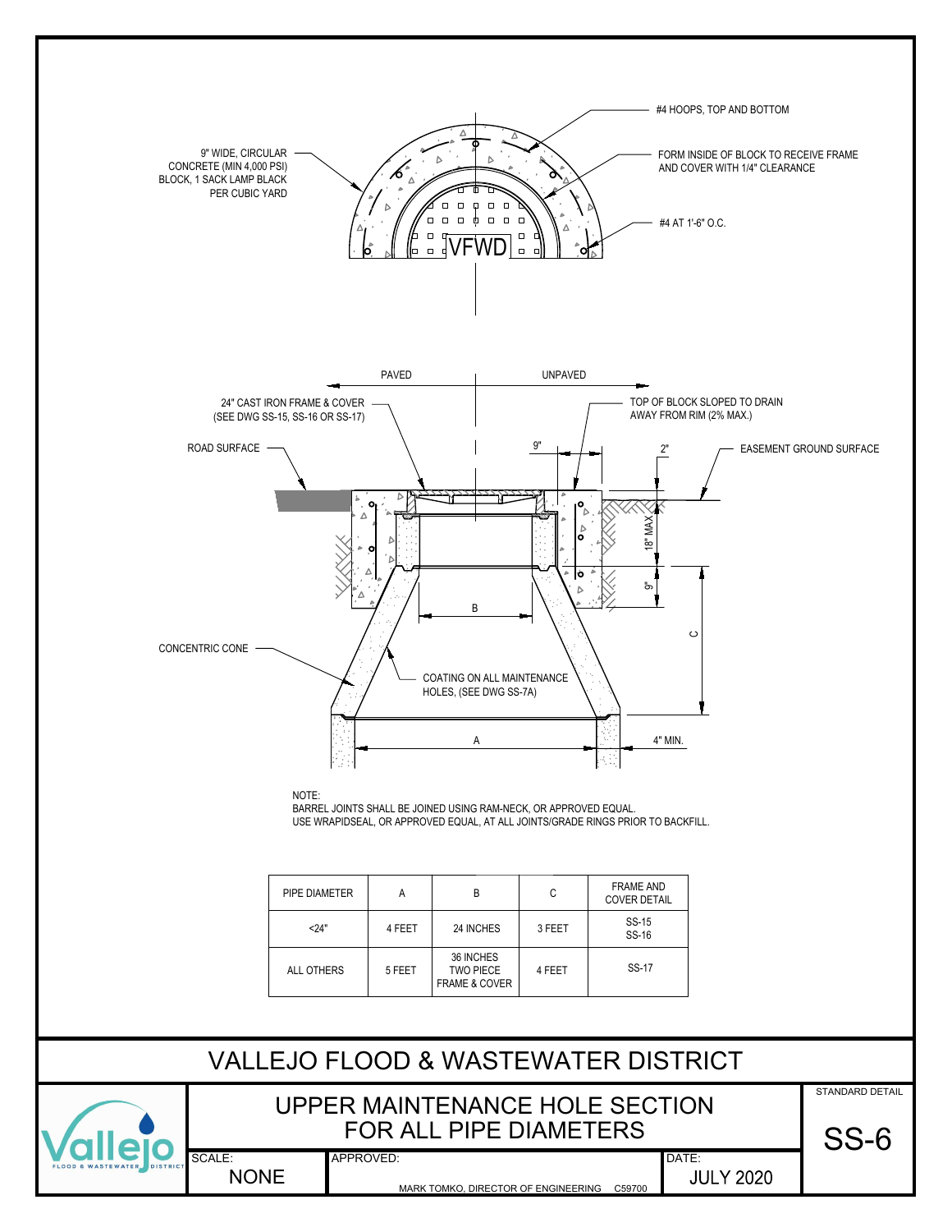SCALE: APPROVED: APPROVED:

MARK TOMKO, DIRECTOR OF ENGINEERING C59700 NONE JULY 2020

#4 HOOPS, TOP AND BOTTOM

## UPPER MAINTENANCE HOLE SECTION FOR ALL PIPE DIAMETERS SS-6

STANDARD DETAIL

## VALLEJO FLOOD & WASTEWATER DISTRICT

| PIPE DIAMETER | А      | B                                                         | С      | <b>FRAME AND</b><br><b>COVER DETAIL</b> |
|---------------|--------|-----------------------------------------------------------|--------|-----------------------------------------|
| 24"           | 4 FEET | 24 INCHES                                                 | 3 FEET | SS-15<br>SS-16                          |
| ALL OTHERS    | 5 FEET | 36 INCHES<br><b>TWO PIECE</b><br><b>FRAME &amp; COVER</b> | 4 FEET | SS-17                                   |

NOTE: BARREL JOINTS SHALL BE JOINED USING RAM-NECK, OR APPROVED EQUAL. USE WRAPIDSEAL, OR APPROVED EQUAL, AT ALL JOINTS/GRADE RINGS PRIOR TO BACKFILL.

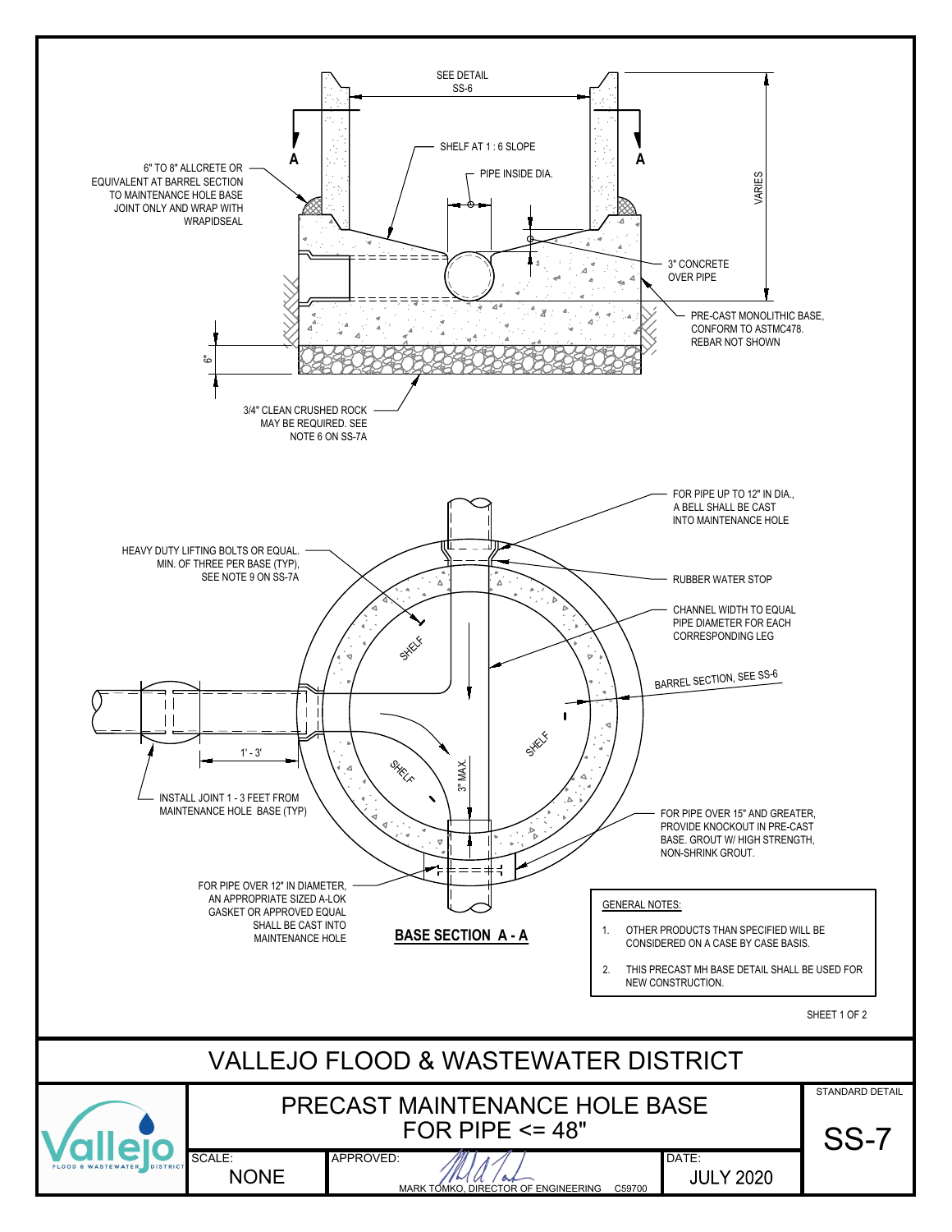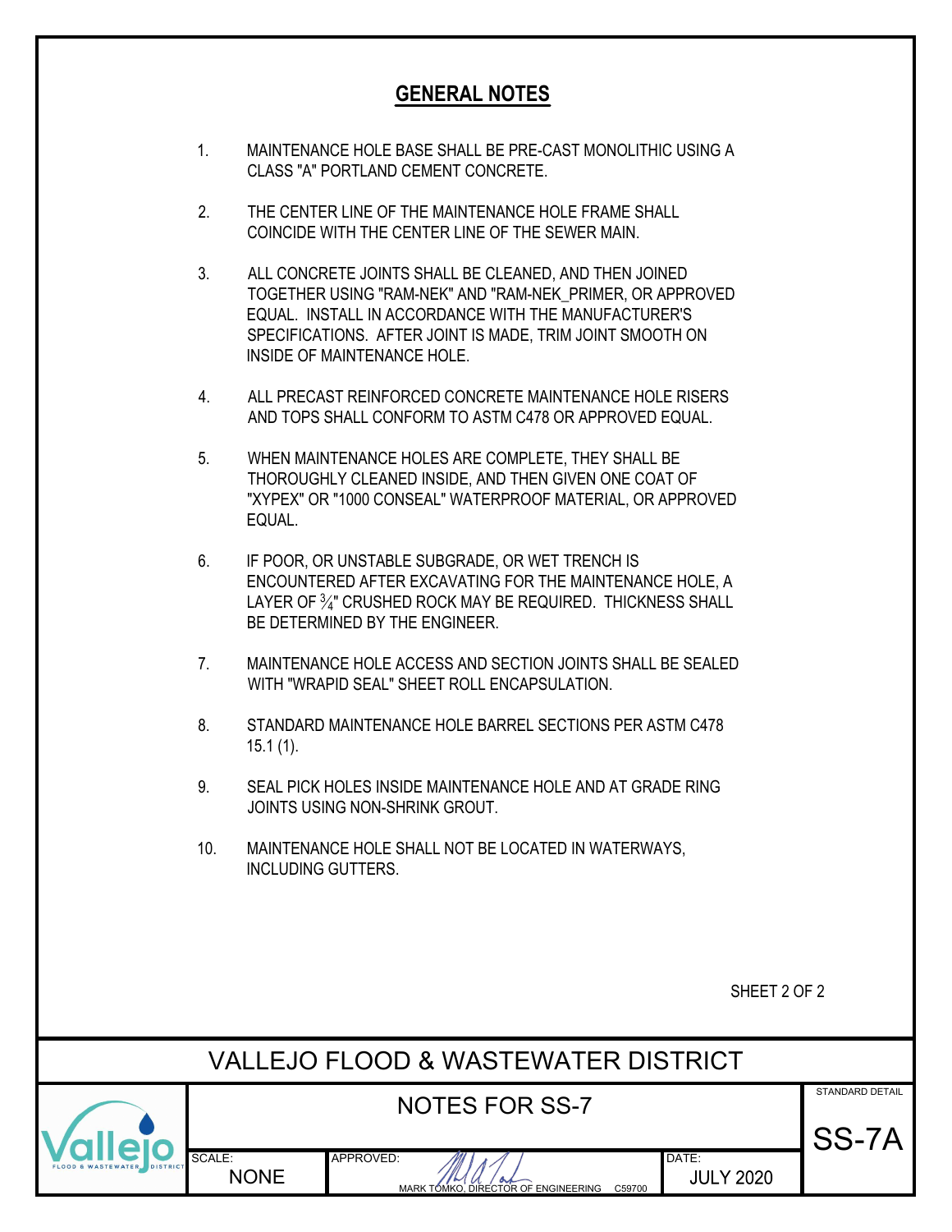## **GENERAL NOTES**

- **GENERAL NOTES**<br>1. MAINTENANCE HOLE BASE SHALL BE PRE-CAST MONOLITHIC USING A<br>2. THE CENTER LINE OF THE MAINTENANCE HOLE FRAME SHALL<br>2. THE CENTER LINE OF THE MAINTENANCE HOLE FRAME SHALL CLASS "A" PORTLAND CEMENT CONCRETE. **CENERAL NOTES**<br>2. MAINTENANCE HOLE BASE SHALL BE PRE-CAST MONOLITHIC USING A<br>2. THE CENTER LINE OF THE MAINTENANCE HOLE FRAME SHALL<br>2. COINCIDE WITH THE CENTER LINE OF THE SEWER MAIN.<br>3. ALL CONCRETE JOINTS SHALL BE CLEAN
- COINCIDE WITH THE CENTER LINE OF THE SEWER MAIN.
- **GENERAL NOTES**<br>3. MAINTENANCE HOLE BASE SHALL BE PRE-CAST MONOLITHIC USING A<br>3. THE CENTER LINE OF THE MAINTENANCE HOLE FRAME SHALL<br>3. ALL CONCRETE JOINTS SHALL BE CLEANED, AND THEN JOINED<br>3. ALL CONCRETE JOINTS SHALL BE TOGETHER USING "RAM-NEK" AND "RAM-NEK\_PRIMER, OR APPROVED EQUAL. INSTALL IN ACCORDANCE WITH THE MANUFACTURER'S SPECIFICATIONS. AFTER JOINT IS MADE, TRIM JOINT SMOOTH ON INSIDE OF MAINTENANCE HOLE. 2. THE CENTER LINE OF THE MAINTENANCE HOLE FRAME SHALL<br>
COINCIDE WITH THE CENTER LINE OF THE SEWER MAIN.<br>
3. ALL CONCRETE JOINTS SHALL BE CLEANED, AND THEN JOINED<br>
TOGETHER USING "RAM-NEK" AND "RAM-NEK\_PRIMER, OR APPROVED<br> 3. ALL CONCRETE JOINTS SHALL BE CLEANED, AND THEN JOINED<br>TOGETHER USING "RAM-NEK" AND "RAM-NEK\_PRIMER, OR APPROVED<br>EQUAL. INSTALL IN ACCORDANCE WITH THE MANUFACTURER'S<br>SPECIFICATIONS. AFTER JOINT IS MADE, TRIM JOINT SMOOTH
- AND TOPS SHALL CONFORM TO ASTM C478 OR APPROVED EQUAL.
- THOROUGHLY CLEANED INSIDE, AND THEN GIVEN ONE COAT OF "XYPEX" OR "1000 CONSEAL" WATERPROOF MATERIAL, OR APPROVED EQUAL.
- INSIDE OF MAINTENANCE HOLE.<br>
4. ALL PRECAST REINFORCED CONCRETE MAINTENANCE HOLE RISERS<br>
AND TOPS SHALL CONFORM TO ASTM C478 OR APPROVED EQUAL.<br>
5. WHEN MAINTENANCE HOLES ARE COMPLETE, THEY SHALL BE<br>
THOROUGHLY CLEANED INS ENCOUNTERED AFTER EXCAVATING FOR THE MAINTENANCE HOLE, A LAYER OF <sup>3</sup> <sup>4</sup>" CRUSHED ROCK MAY BE REQUIRED. THICKNESS SHALL BE DETERMINED BY THE ENGINEER. 5. WHEN MAINTENANCE HOLES ARE COMPLETE, THEY SHALL BE<br>THOROUGHLY CLEANED INSIDE, AND THEN GIVEN ONE COAT OF<br>"XYPEX" OR "1000 CONSEAL" WATERPROOF MATERIAL, OR APPROVED<br>EQUAL.<br>6. IF POOR, OR UNSTABLE SUBGRADE, OR WET TRENCH EQUAL.<br>
8. IF POOR, OR UNSTABLE SUBGRADE, OR WET TRENCH IS<br>
ENCOUNTERED AFTER EXCAVATING FOR THE MAINTENANCE HOLE, A<br>
LAYER OF <sup>5/</sup>4" CRUSHED ROCK MAY BE REQUIRED. THICKNESS SHALL<br>
BE DETERMINED BY THE ENGINEER.<br>
7. MAINTE ENCOUNTERED AFTER EXCAVATING FOR THE MAINTENANCE HOLE, A<br>
LAYER OF <sup>3</sup>/4" CRUSHED ROCK MAY BE REQUIRED. THICKNESS SHALL<br>
BE DETERMINED BY THE ENGINEER.<br>
7. MAINTENANCE HOLE ACCESS AND SECTION JOINTS SHALL BE SEALED<br>
WITH "
- WITH "WRAPID SEAL" SHEET ROLL ENCAPSULATION. 10. MAINTENANCE HOLE ACCESS AND SECTION JOINTS SHALL BE SEALED<br>
WITH "WRAPID SEAL" SHEET ROLL ENCAPSULATION.<br>
10. STANDARD MAINTENANCE HOLE BARREL SECTIONS PER ASTM C478<br>
15.1 (1).<br>
10. SEAL PICK HOLES INSIDE MAINTENANCE H
- 15.1 (1).
- JOINTS USING NON-SHRINK GROUT.
- INCLUDING GUTTERS.

VALLEJO FLOOD & WASTEWATER DISTRICT STANDARD DETAIL SCALE: **APPROVED: AND A A** DATE: NONE MARK TÓMKO, DIRECTÓR OF ENGINEERING C59700 JULY 2020 NOTES FOR SS-7 SS-7A

SHEET 2 OF 2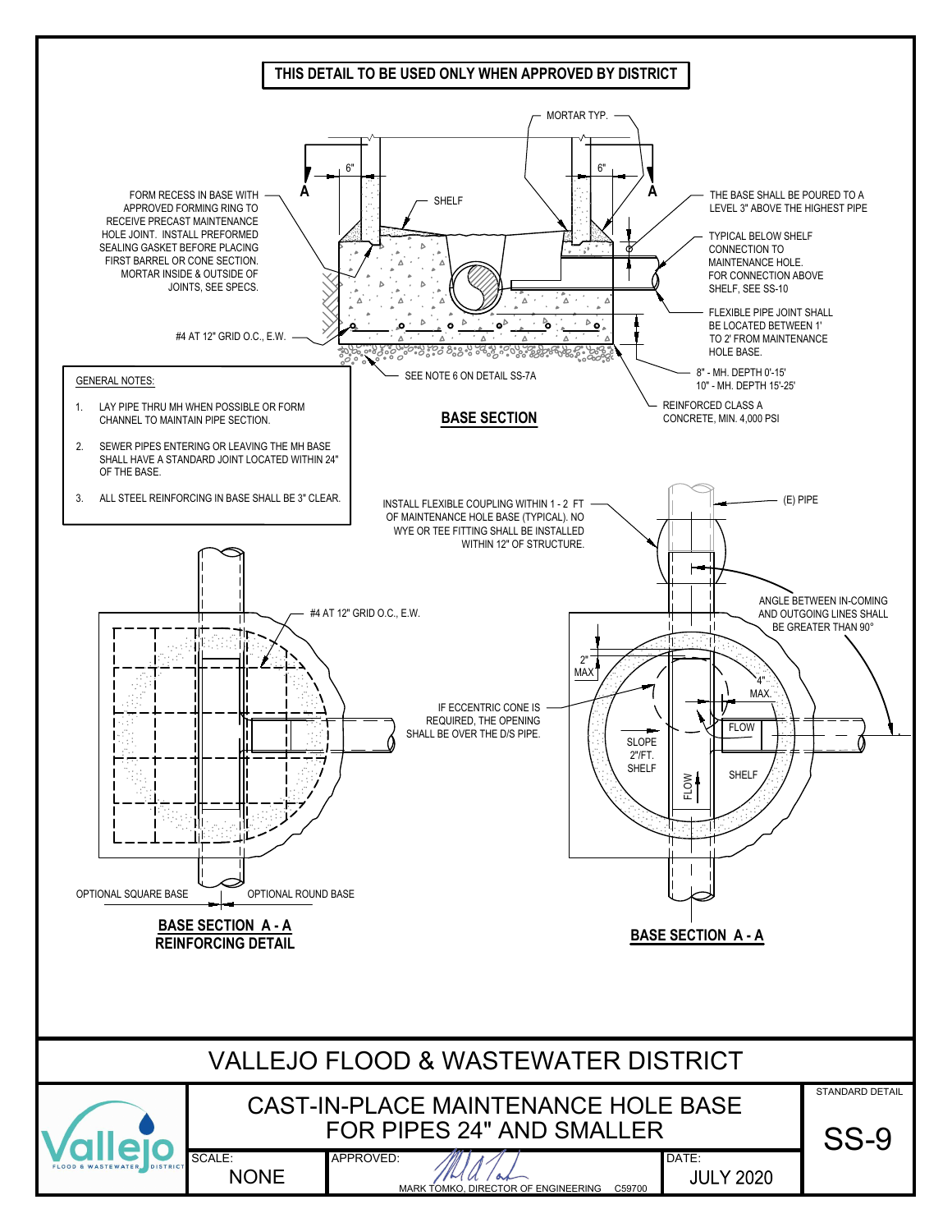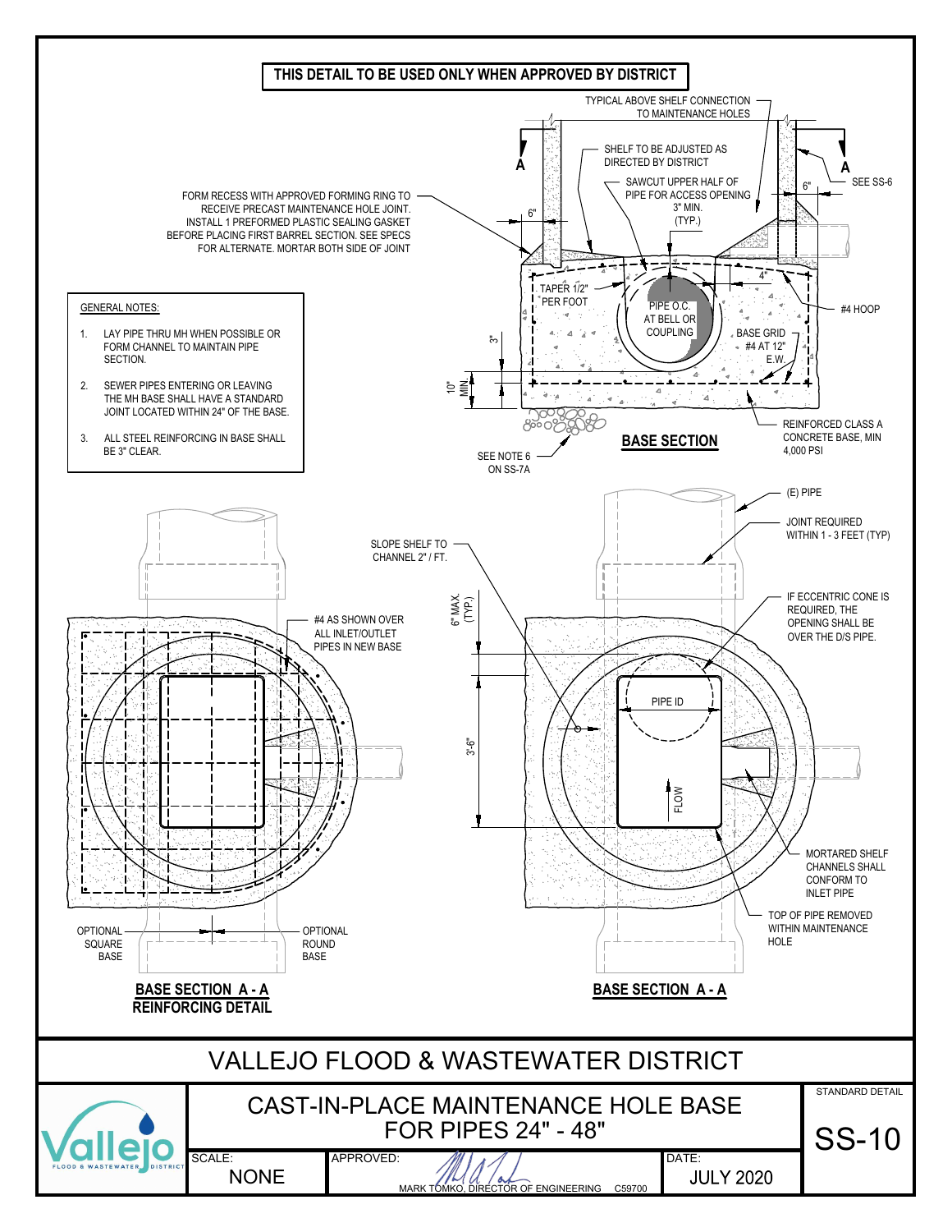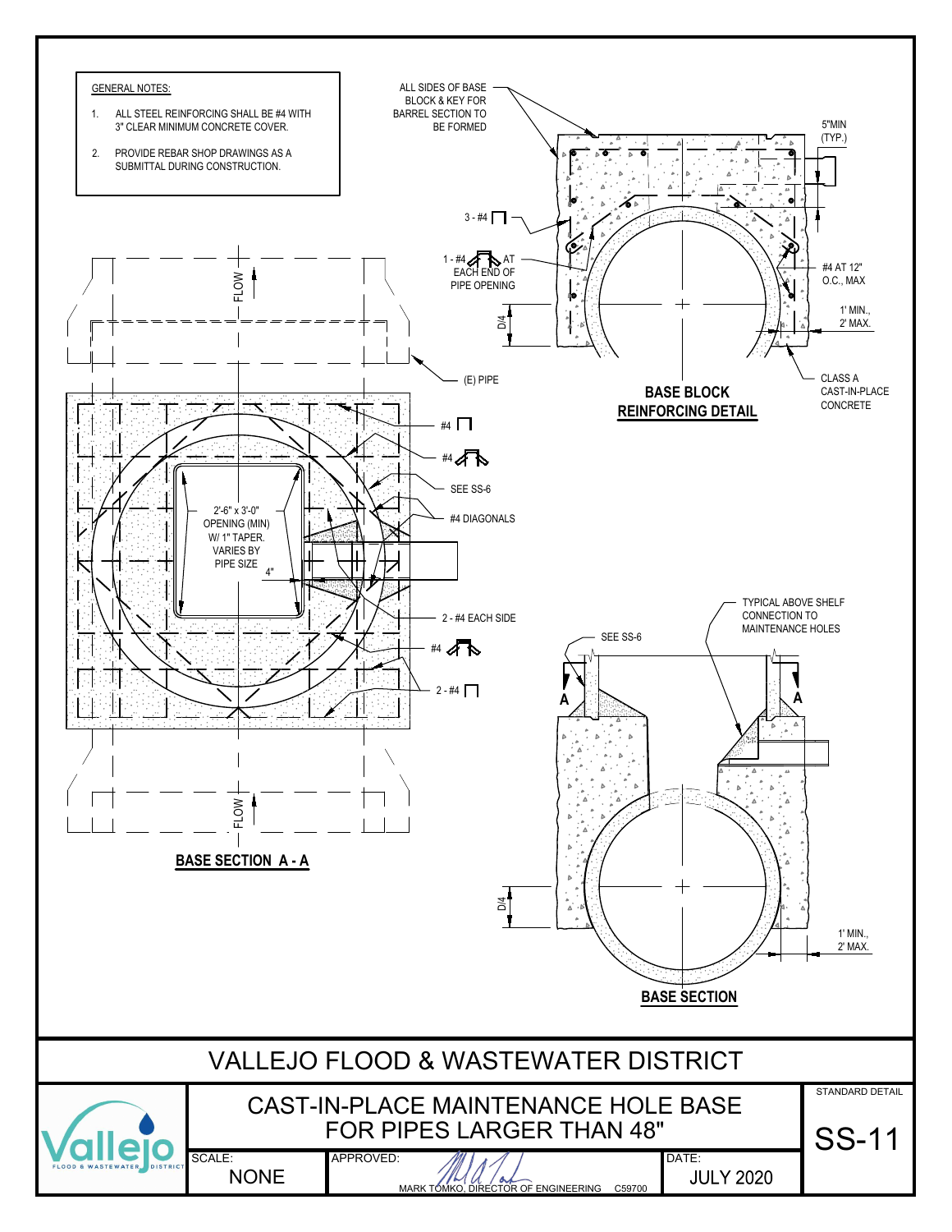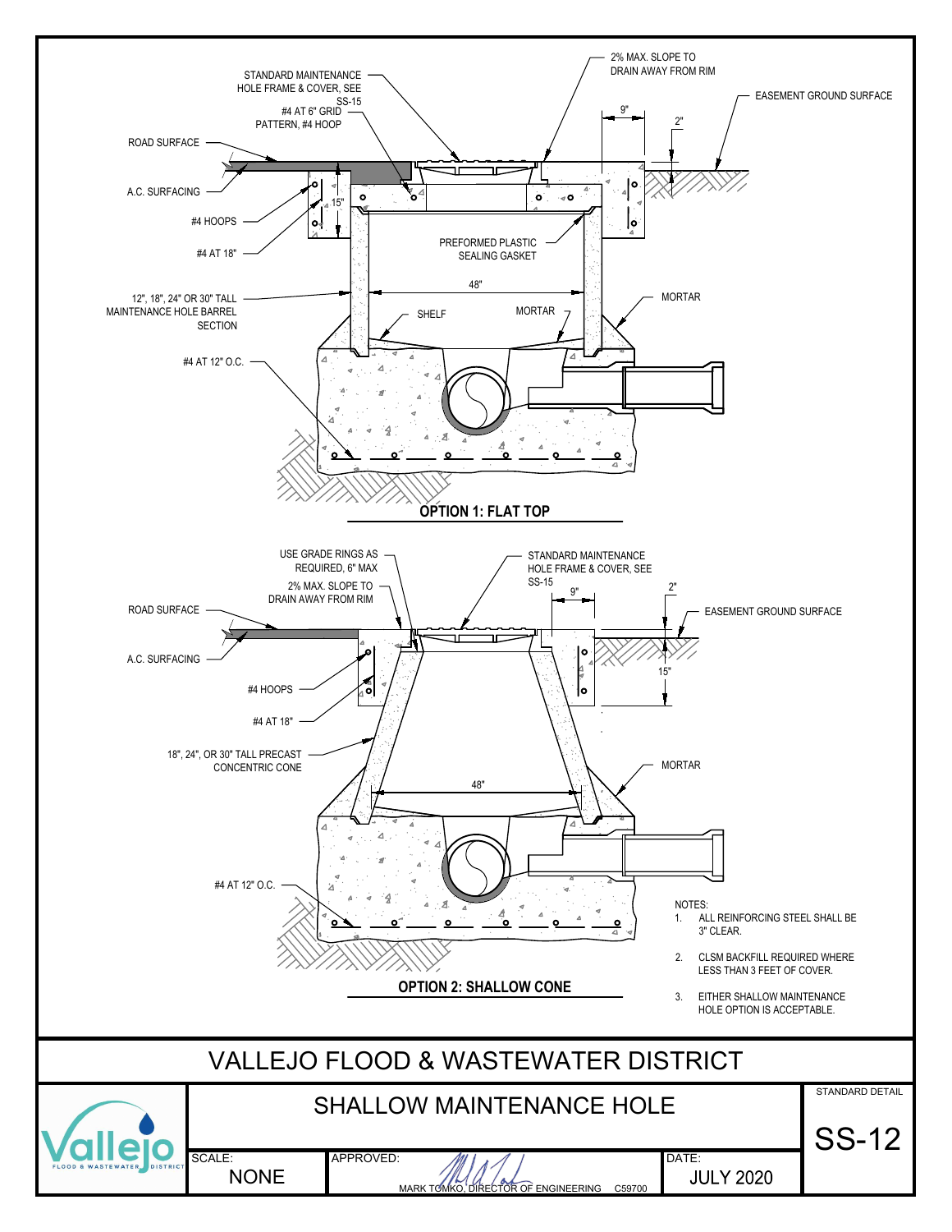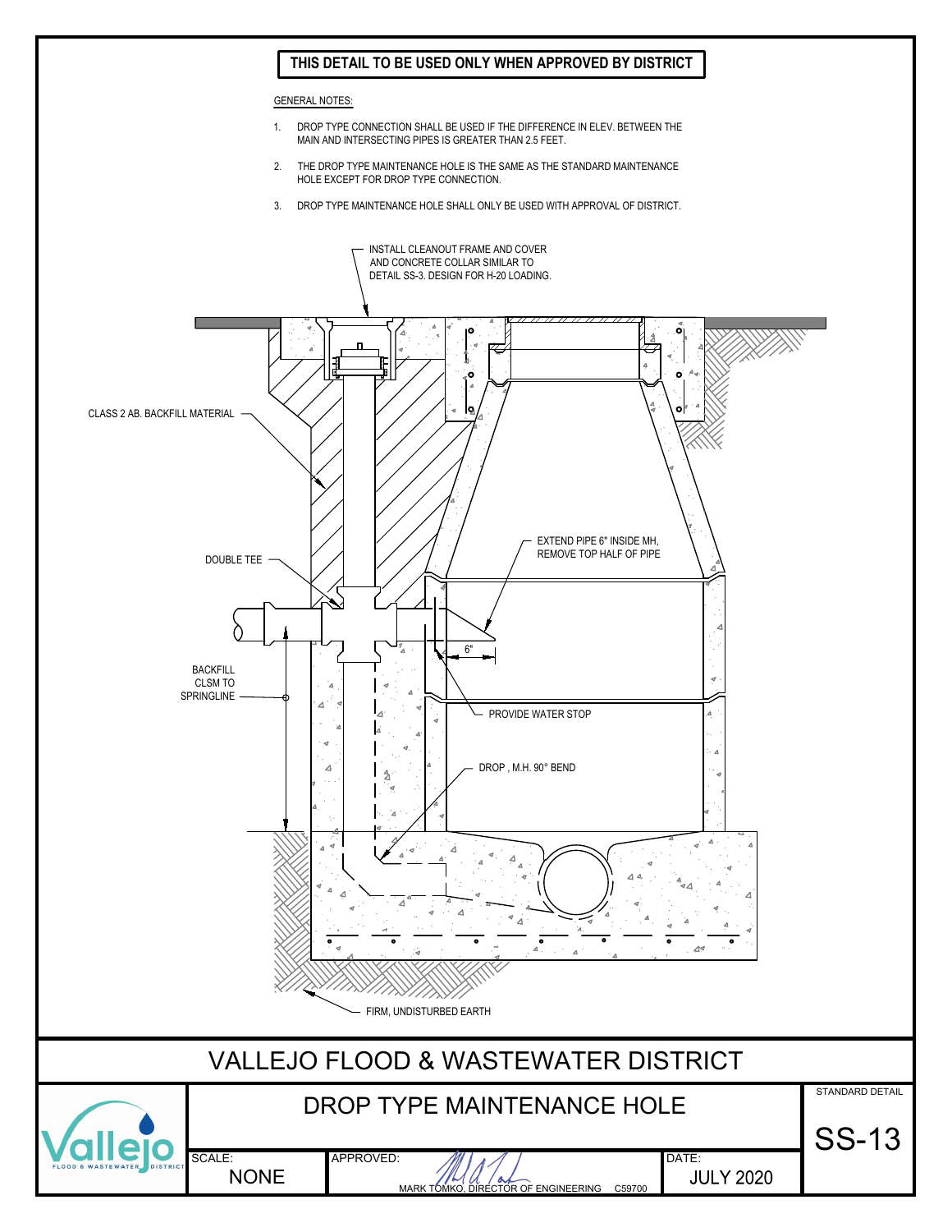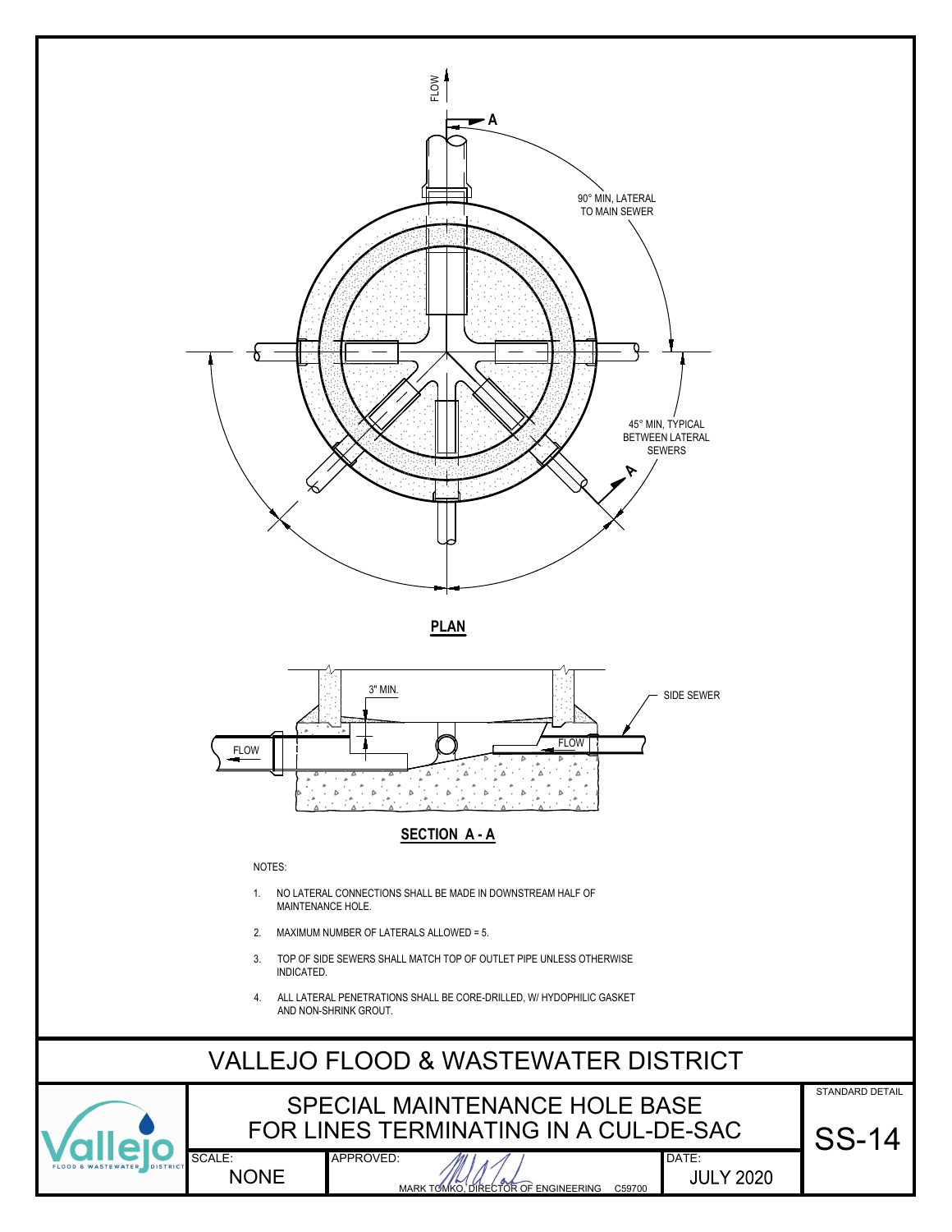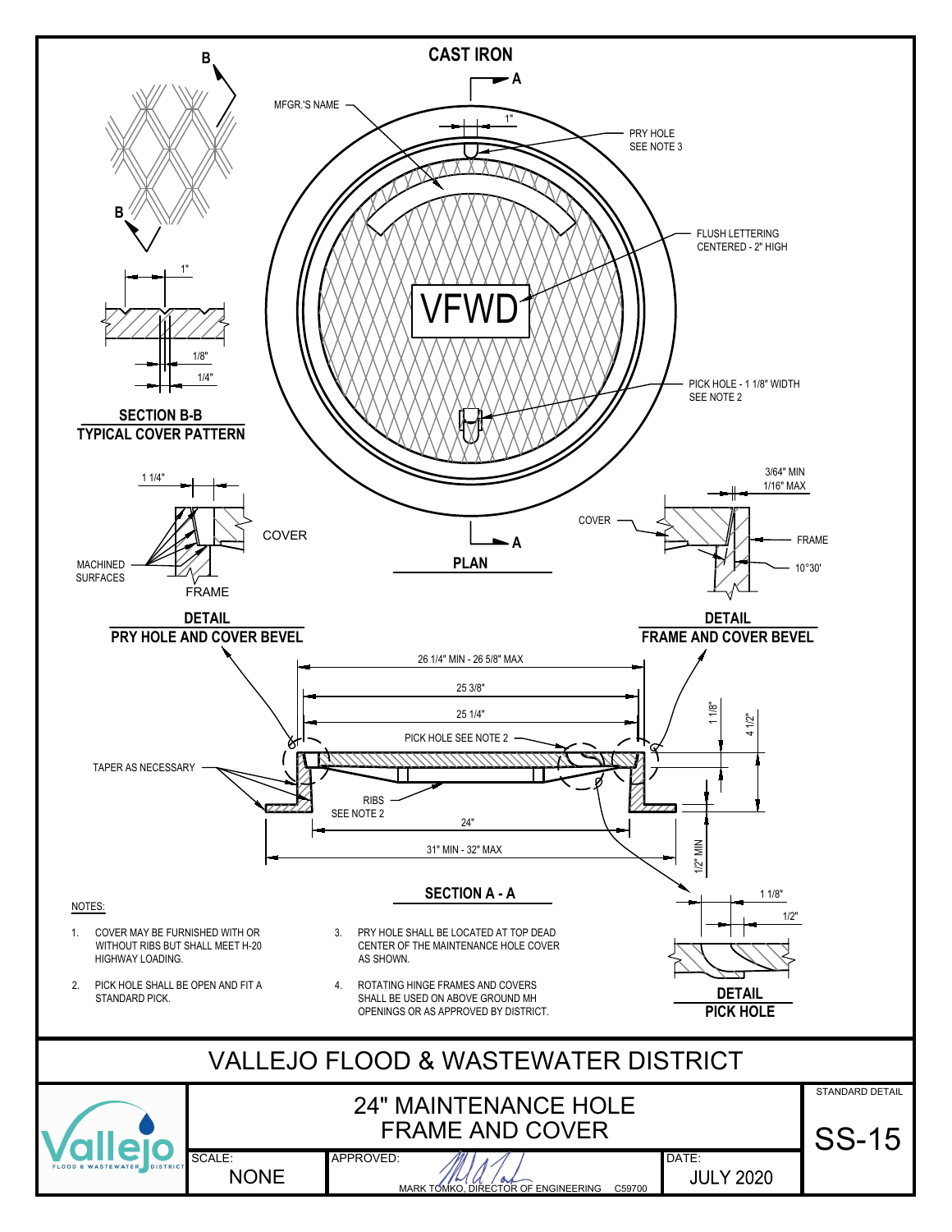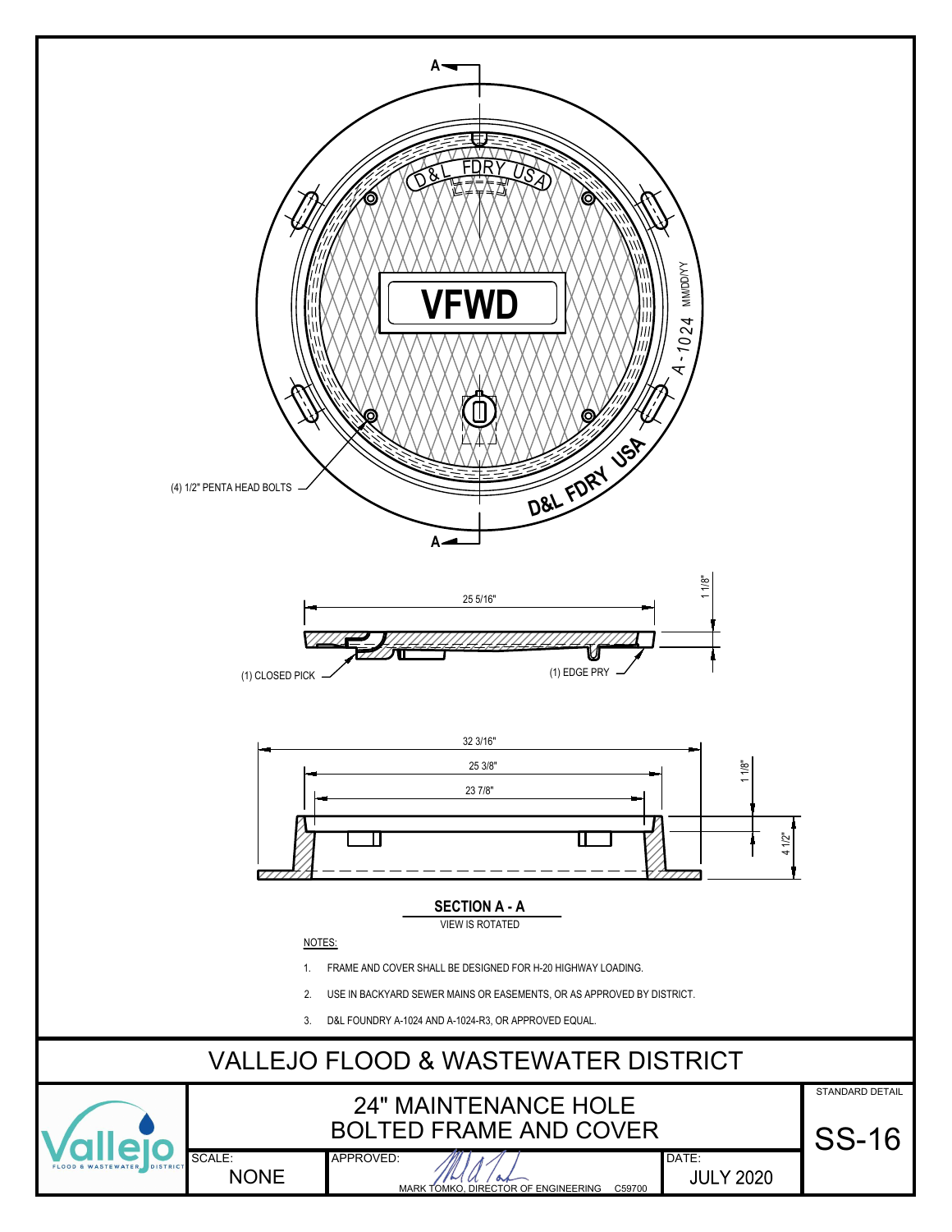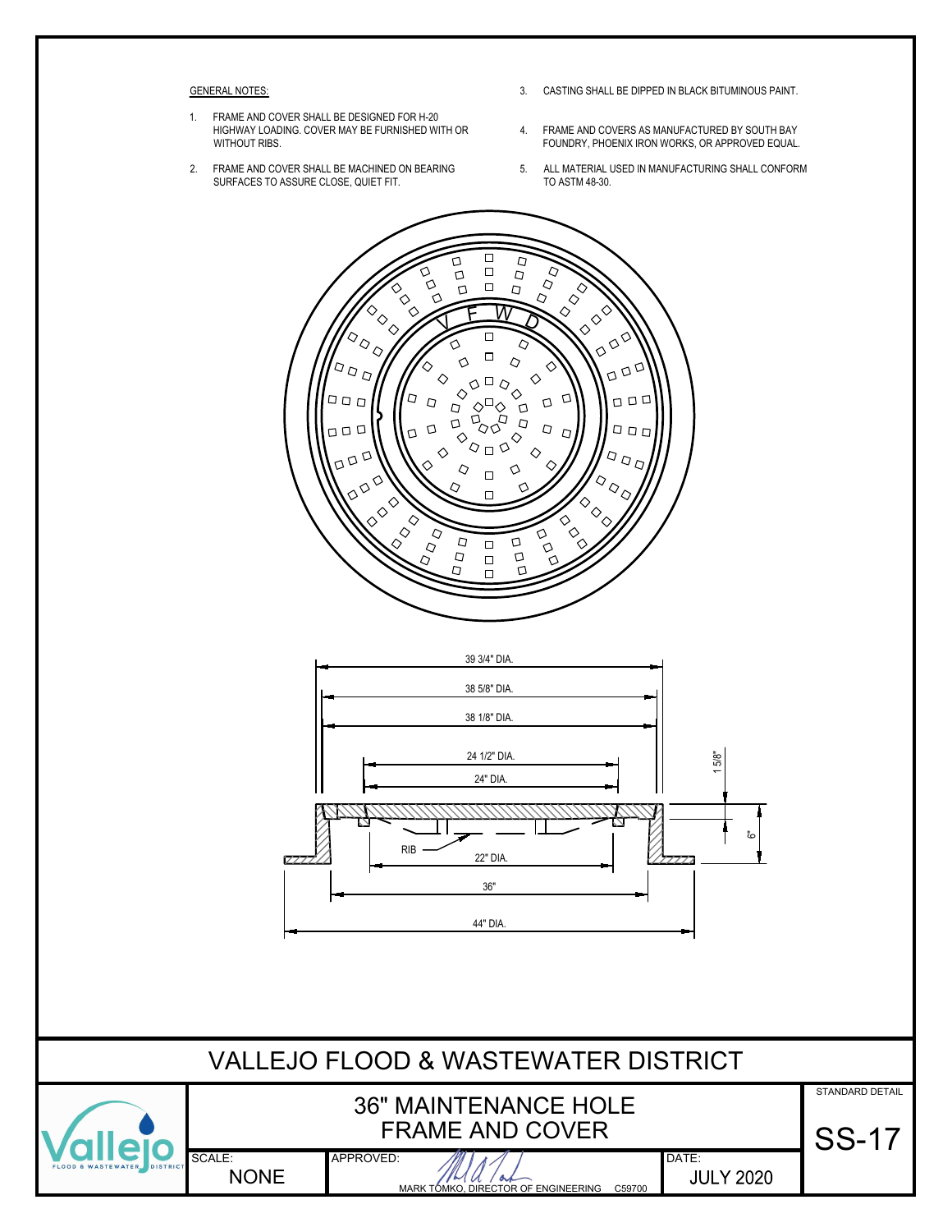## GENERAL NOTES:

- GENERAL NOTES:<br>1. FRAME AND COVER SHALL BE DESIGNED FOR H-20<br>HIGHWAY LOADING. COVER MAY BE FURNISHED WITH OR<br>WITHOUT RIBS. FRAME AND COVER SHALL BE DESIGNED FOR H-20<br>HIGHWAY LOADING. COVER MAY BE FURNISHED WITH OR \_\_\_\_\_\_\_\_\_\_\_\_\_\_\_\_\_\_\_\_\_\_\_\_\_\_\_\_\_\_\_\_\_ WITHOUT RIBS. 3. CAST<br>2. FRAME AND COVER SHALL BE DESIGNED FOR H-20<br>2. FRAME AND COVER SHALL BE MACHINED WITH OR<br>2. FRAME AND COVER SHALL BE MACHINED ON BEARING<br>2. FRAME AND COVER SHALL BE MACHINED ON BEARING<br>5. ALL I<br>5URFACES TO ASSURE
- SURFACES TO ASSURE CLOSE, QUIET FIT.
- 3. CASTING SHALL BE DIPPED IN BLACK BITUMINOUS PAINT.<br>4. FRAME AND COVERS AS MANUFACTURED BY SOUTH BAY
- 3. CASTING SHALL BE DIPPED IN BLACK BITUMINOUS PAINT.<br>4. FRAME AND COVERS AS MANUFACTURED BY SOUTH BAY<br>FOUNDRY, PHOENIX IRON WORKS, OR APPROVED EQUAL.<br>5. ALL MATERIAL USED IN MANUFACTURING SHALL CONFORM FOUNDRY, PHOENIX IRON WORKS, OR APPROVED EQUAL.
- TO ASTM 48-30.

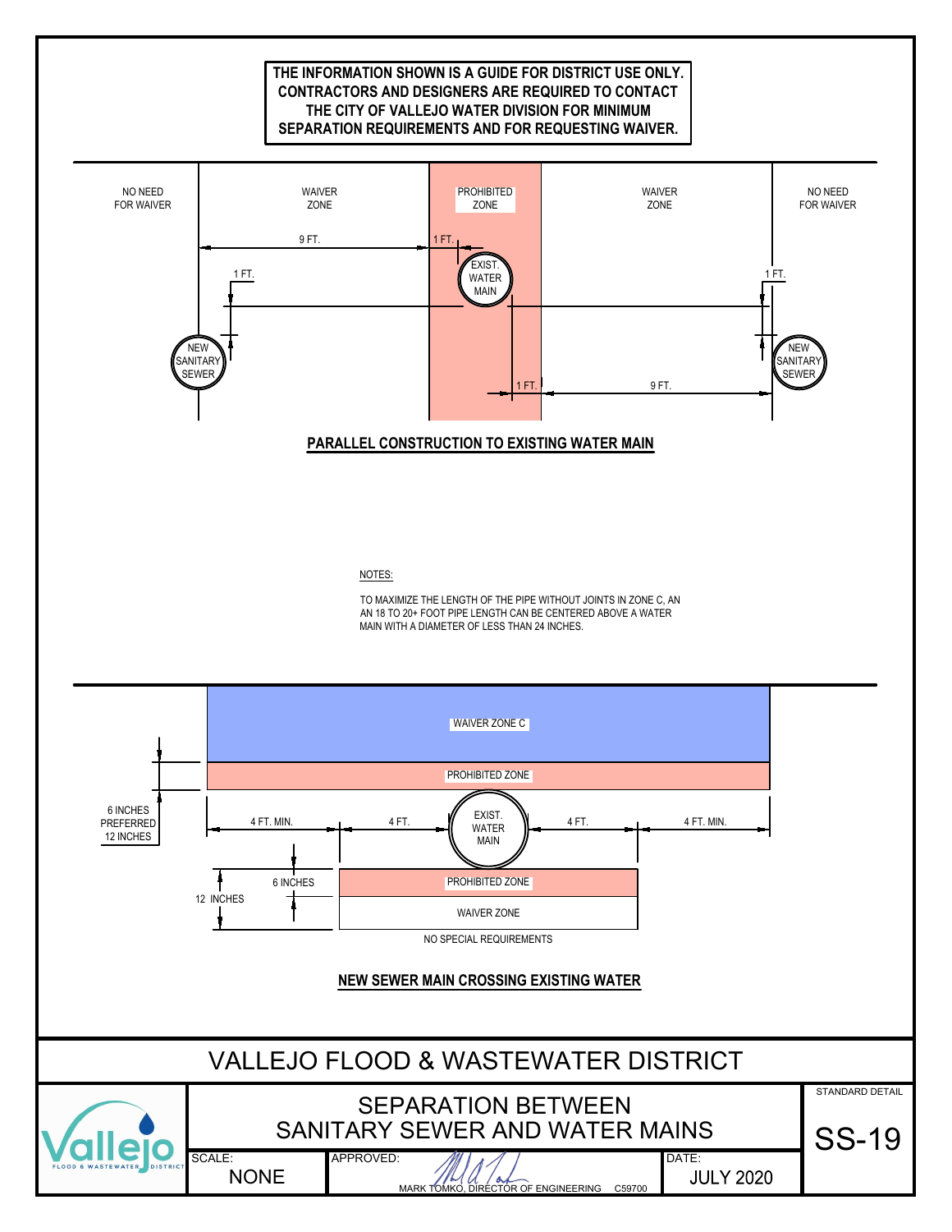